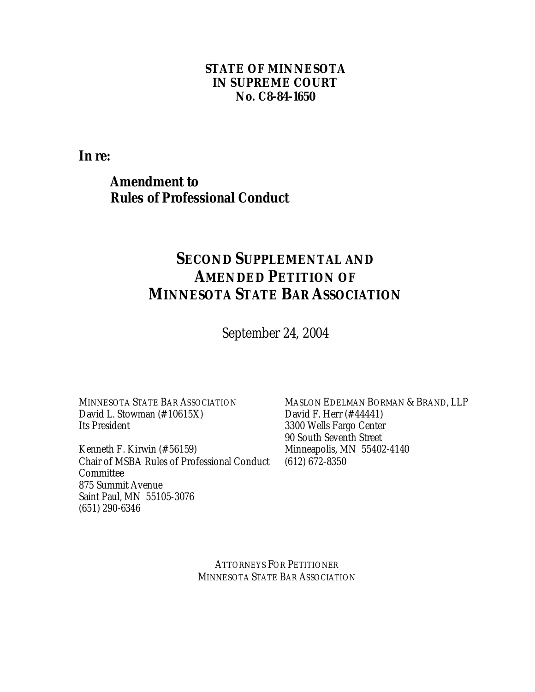## **STATE OF MINNESOTA IN SUPREME COURT No. C8-84-1650**

**In re:**

**Amendment to Rules of Professional Conduct**

# **SECOND SUPPLEMENTAL AND AMENDED PETITION OF MINNESOTA STATE BAR ASSOCIATION**

September 24, 2004

MINNESOTA STATE BAR ASSOCIATION David L. Stowman (#10615X) Its President

Kenneth F. Kirwin (#56159) Chair of MSBA Rules of Professional Conduct **Committee** 875 Summit Avenue Saint Paul, MN 55105-3076 (651) 290-6346

MASLON EDELMAN BORMAN & BRAND, LLP David F. Herr (#44441) 3300 Wells Fargo Center 90 South Seventh Street Minneapolis, MN 55402-4140 (612) 672-8350

ATTORNEYS FOR PETITIONER MINNESOTA STATE BAR ASSOCIATION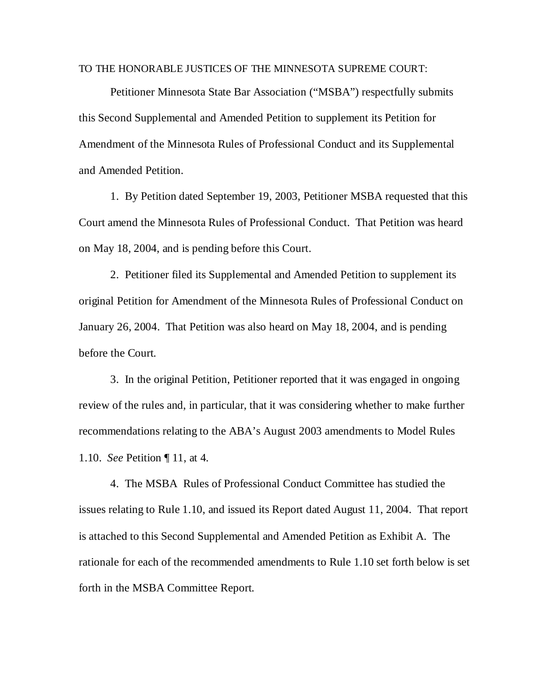TO THE HONORABLE JUSTICES OF THE MINNESOTA SUPREME COURT:

Petitioner Minnesota State Bar Association ("MSBA") respectfully submits this Second Supplemental and Amended Petition to supplement its Petition for Amendment of the Minnesota Rules of Professional Conduct and its Supplemental and Amended Petition.

1. By Petition dated September 19, 2003, Petitioner MSBA requested that this Court amend the Minnesota Rules of Professional Conduct. That Petition was heard on May 18, 2004, and is pending before this Court.

2. Petitioner filed its Supplemental and Amended Petition to supplement its original Petition for Amendment of the Minnesota Rules of Professional Conduct on January 26, 2004. That Petition was also heard on May 18, 2004, and is pending before the Court.

3. In the original Petition, Petitioner reported that it was engaged in ongoing review of the rules and, in particular, that it was considering whether to make further recommendations relating to the ABA's August 2003 amendments to Model Rules 1.10. *See* Petition ¶ 11, at 4.

4. The MSBA Rules of Professional Conduct Committee has studied the issues relating to Rule 1.10, and issued its Report dated August 11, 2004. That report is attached to this Second Supplemental and Amended Petition as Exhibit A. The rationale for each of the recommended amendments to Rule 1.10 set forth below is set forth in the MSBA Committee Report.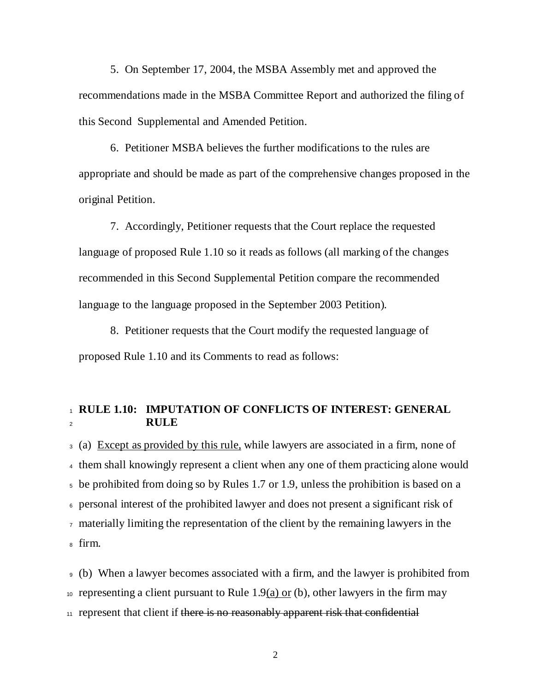5. On September 17, 2004, the MSBA Assembly met and approved the recommendations made in the MSBA Committee Report and authorized the filing of this Second Supplemental and Amended Petition.

6. Petitioner MSBA believes the further modifications to the rules are appropriate and should be made as part of the comprehensive changes proposed in the original Petition.

7. Accordingly, Petitioner requests that the Court replace the requested language of proposed Rule 1.10 so it reads as follows (all marking of the changes recommended in this Second Supplemental Petition compare the recommended language to the language proposed in the September 2003 Petition).

8. Petitioner requests that the Court modify the requested language of proposed Rule 1.10 and its Comments to read as follows:

## <sup>1</sup> **RULE 1.10: IMPUTATION OF CONFLICTS OF INTEREST: GENERAL**  <sup>2</sup> **RULE**

 (a) Except as provided by this rule, while lawyers are associated in a firm, none of them shall knowingly represent a client when any one of them practicing alone would be prohibited from doing so by Rules 1.7 or 1.9, unless the prohibition is based on a personal interest of the prohibited lawyer and does not present a significant risk of materially limiting the representation of the client by the remaining lawyers in the <sup>8</sup> firm.

<sup>9</sup> (b) When a lawyer becomes associated with a firm, and the lawyer is prohibited from  $10$  representing a client pursuant to Rule 1.9(a) or (b), other lawyers in the firm may <sup>11</sup> represent that client if there is no reasonably apparent risk that confidential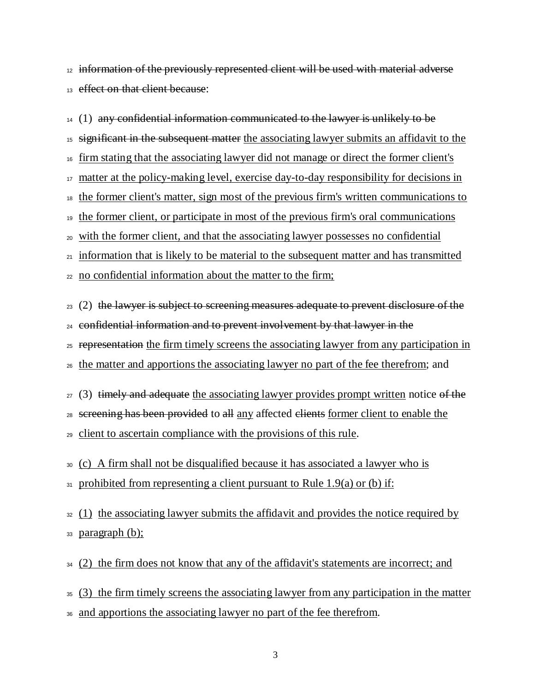<sup>12</sup> information of the previously represented client will be used with material adverse 13 effect on that client because:

<sup>14</sup> (1) any confidential information communicated to the lawyer is unlikely to be <sup>15</sup> significant in the subsequent matter the associating lawyer submits an affidavit to the firm stating that the associating lawyer did not manage or direct the former client's matter at the policy-making level, exercise day-to-day responsibility for decisions in the former client's matter, sign most of the previous firm's written communications to the former client, or participate in most of the previous firm's oral communications with the former client, and that the associating lawyer possesses no confidential 21 information that is likely to be material to the subsequent matter and has transmitted no confidential information about the matter to the firm; 23 (2) the lawyer is subject to screening measures adequate to prevent disclosure of the 24 confidential information and to prevent involvement by that lawyer in the representation the firm timely screens the associating lawyer from any participation in the matter and apportions the associating lawyer no part of the fee therefrom; and (3) timely and adequate the associating lawyer provides prompt written notice of the screening has been provided to all any affected elients former client to enable the client to ascertain compliance with the provisions of this rule. (c) A firm shall not be disqualified because it has associated a lawyer who is prohibited from representing a client pursuant to Rule 1.9(a) or (b) if: (1) the associating lawyer submits the affidavit and provides the notice required by paragraph (b);

(2) the firm does not know that any of the affidavit's statements are incorrect; and

 (3) the firm timely screens the associating lawyer from any participation in the matter and apportions the associating lawyer no part of the fee therefrom.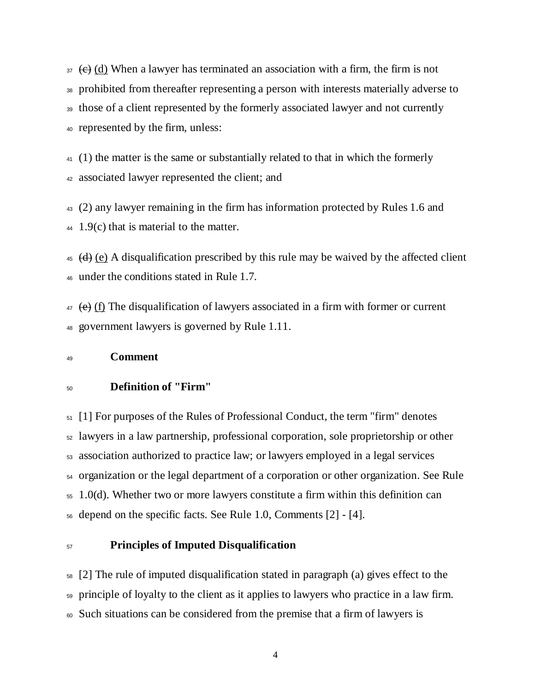$37 \text{ (e) (d)}$  When a lawyer has terminated an association with a firm, the firm is not prohibited from thereafter representing a person with interests materially adverse to those of a client represented by the formerly associated lawyer and not currently represented by the firm, unless:

 (1) the matter is the same or substantially related to that in which the formerly associated lawyer represented the client; and

 (2) any lawyer remaining in the firm has information protected by Rules 1.6 and 1.9(c) that is material to the matter.

 (d) (e) A disqualification prescribed by this rule may be waived by the affected client under the conditions stated in Rule 1.7.

 (e) (f) The disqualification of lawyers associated in a firm with former or current government lawyers is governed by Rule 1.11.

#### **Comment**

#### **Definition of "Firm"**

 [1] For purposes of the Rules of Professional Conduct, the term "firm" denotes lawyers in a law partnership, professional corporation, sole proprietorship or other association authorized to practice law; or lawyers employed in a legal services organization or the legal department of a corporation or other organization. See Rule 1.0(d). Whether two or more lawyers constitute a firm within this definition can depend on the specific facts. See Rule 1.0, Comments [2] - [4].

## **Principles of Imputed Disqualification**

[2] The rule of imputed disqualification stated in paragraph (a) gives effect to the

principle of loyalty to the client as it applies to lawyers who practice in a law firm.

Such situations can be considered from the premise that a firm of lawyers is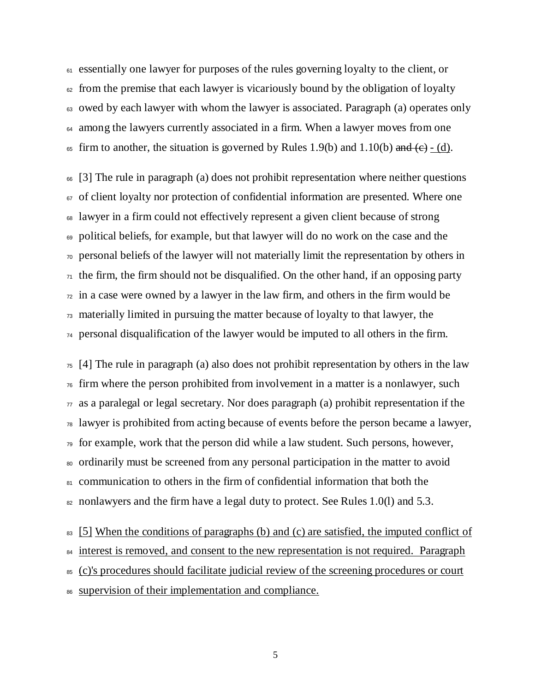essentially one lawyer for purposes of the rules governing loyalty to the client, or <sup>62</sup> from the premise that each lawyer is vicariously bound by the obligation of loyalty owed by each lawyer with whom the lawyer is associated. Paragraph (a) operates only <sup>64</sup> among the lawyers currently associated in a firm. When a lawyer moves from one 65 firm to another, the situation is governed by Rules 1.9(b) and 1.10(b) and  $(e) - (d)$ .

 [3] The rule in paragraph (a) does not prohibit representation where neither questions <sup>67</sup> of client loyalty nor protection of confidential information are presented. Where one lawyer in a firm could not effectively represent a given client because of strong political beliefs, for example, but that lawyer will do no work on the case and the personal beliefs of the lawyer will not materially limit the representation by others in the firm, the firm should not be disqualified. On the other hand, if an opposing party in a case were owned by a lawyer in the law firm, and others in the firm would be materially limited in pursuing the matter because of loyalty to that lawyer, the personal disqualification of the lawyer would be imputed to all others in the firm.

 [4] The rule in paragraph (a) also does not prohibit representation by others in the law firm where the person prohibited from involvement in a matter is a nonlawyer, such as a paralegal or legal secretary. Nor does paragraph (a) prohibit representation if the lawyer is prohibited from acting because of events before the person became a lawyer, for example, work that the person did while a law student. Such persons, however, ordinarily must be screened from any personal participation in the matter to avoid 81 communication to others in the firm of confidential information that both the nonlawyers and the firm have a legal duty to protect. See Rules 1.0(l) and 5.3.

 [5] When the conditions of paragraphs (b) and (c) are satisfied, the imputed conflict of 84 interest is removed, and consent to the new representation is not required. Paragraph (c)'s procedures should facilitate judicial review of the screening procedures or court supervision of their implementation and compliance.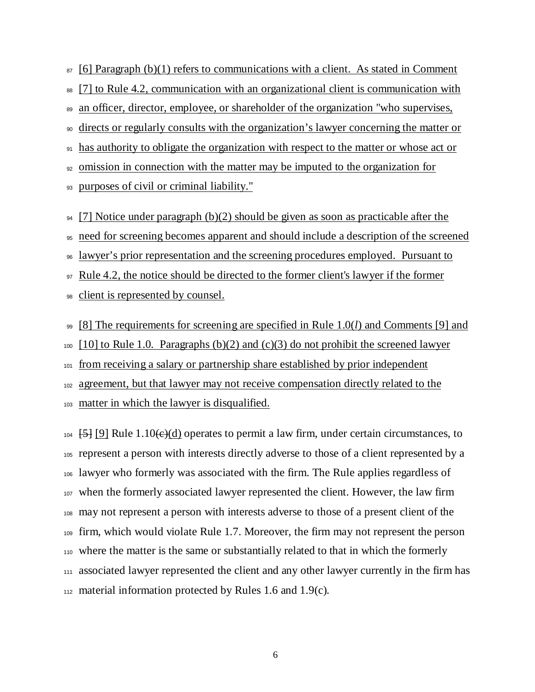$87 \left[ 6 \right]$  Paragraph (b)(1) refers to communications with a client. As stated in Comment [7] to Rule 4.2, communication with an organizational client is communication with 89 an officer, director, employee, or shareholder of the organization "who supervises, directs or regularly consults with the organization's lawyer concerning the matter or has authority to obligate the organization with respect to the matter or whose act or omission in connection with the matter may be imputed to the organization for purposes of civil or criminal liability."

 [7] Notice under paragraph (b)(2) should be given as soon as practicable after the need for screening becomes apparent and should include a description of the screened lawyer's prior representation and the screening procedures employed. Pursuant to Rule 4.2, the notice should be directed to the former client's lawyer if the former client is represented by counsel.

[8] The requirements for screening are specified in Rule 1.0(*l*) and Comments [9] and

[10] to Rule 1.0. Paragraphs (b)(2) and (c)(3) do not prohibit the screened lawyer

from receiving a salary or partnership share established by prior independent

agreement, but that lawyer may not receive compensation directly related to the

matter in which the lawyer is disqualified.

 [5] [9] Rule 1.10( $\leftrightarrow$ )(d) operates to permit a law firm, under certain circumstances, to represent a person with interests directly adverse to those of a client represented by a lawyer who formerly was associated with the firm. The Rule applies regardless of when the formerly associated lawyer represented the client. However, the law firm may not represent a person with interests adverse to those of a present client of the firm, which would violate Rule 1.7. Moreover, the firm may not represent the person where the matter is the same or substantially related to that in which the formerly associated lawyer represented the client and any other lawyer currently in the firm has material information protected by Rules 1.6 and 1.9(c).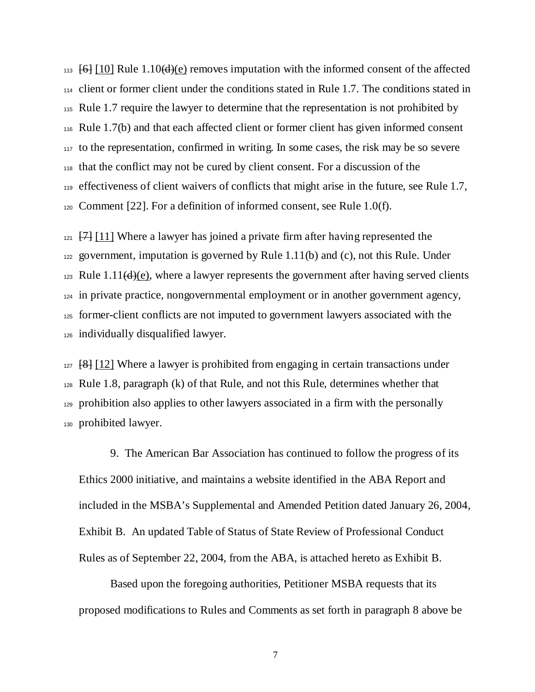$113 \left[ 6 \right] [10]$  Rule 1.10(d)(e) removes imputation with the informed consent of the affected client or former client under the conditions stated in Rule 1.7. The conditions stated in Rule 1.7 require the lawyer to determine that the representation is not prohibited by Rule 1.7(b) and that each affected client or former client has given informed consent to the representation, confirmed in writing. In some cases, the risk may be so severe that the conflict may not be cured by client consent. For a discussion of the effectiveness of client waivers of conflicts that might arise in the future, see Rule 1.7,  $_{120}$  Comment [22]. For a definition of informed consent, see Rule 1.0(f).

 [11] Where a lawyer has joined a private firm after having represented the government, imputation is governed by Rule 1.11(b) and (c), not this Rule. Under Rule 1.11( $d$ )(e), where a lawyer represents the government after having served clients in private practice, nongovernmental employment or in another government agency, former-client conflicts are not imputed to government lawyers associated with the individually disqualified lawyer.

 [8] [12] Where a lawyer is prohibited from engaging in certain transactions under Rule 1.8, paragraph (k) of that Rule, and not this Rule, determines whether that prohibition also applies to other lawyers associated in a firm with the personally prohibited lawyer.

9. The American Bar Association has continued to follow the progress of its Ethics 2000 initiative, and maintains a website identified in the ABA Report and included in the MSBA's Supplemental and Amended Petition dated January 26, 2004, Exhibit B. An updated Table of Status of State Review of Professional Conduct Rules as of September 22, 2004, from the ABA, is attached hereto as Exhibit B.

Based upon the foregoing authorities, Petitioner MSBA requests that its proposed modifications to Rules and Comments as set forth in paragraph 8 above be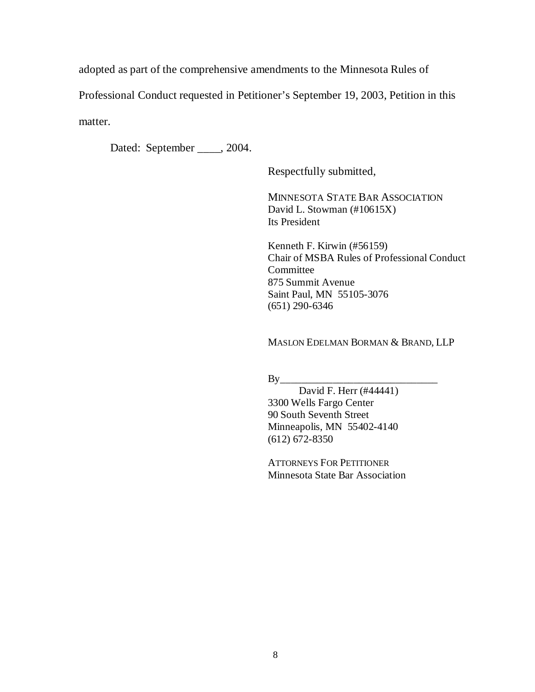adopted as part of the comprehensive amendments to the Minnesota Rules of

Professional Conduct requested in Petitioner's September 19, 2003, Petition in this

matter.

Dated: September \_\_\_\_, 2004.

Respectfully submitted,

MINNESOTA STATE BAR ASSOCIATION David L. Stowman (#10615X) Its President

Kenneth F. Kirwin (#56159) Chair of MSBA Rules of Professional Conduct Committee 875 Summit Avenue Saint Paul, MN 55105-3076 (651) 290-6346

MASLON EDELMAN BORMAN & BRAND, LLP

By\_\_\_\_\_\_\_\_\_\_\_\_\_\_\_\_\_\_\_\_\_\_\_\_\_\_\_\_\_\_

David F. Herr (#44441) 3300 Wells Fargo Center 90 South Seventh Street Minneapolis, MN 55402-4140 (612) 672-8350

ATTORNEYS FOR PETITIONER Minnesota State Bar Association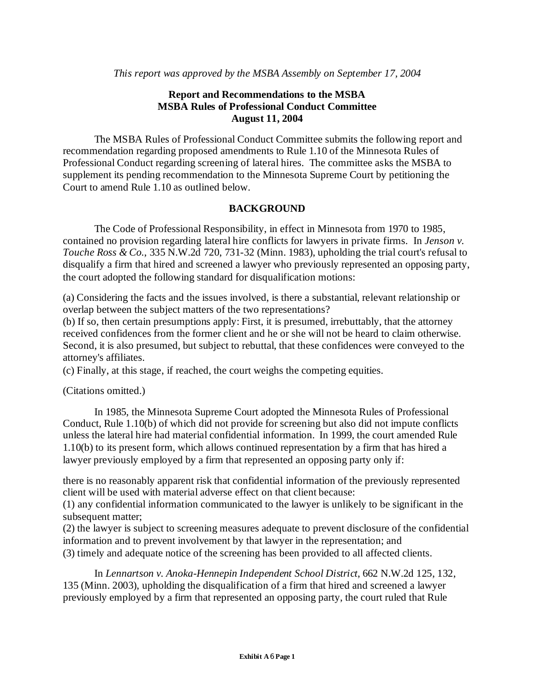*This report was approved by the MSBA Assembly on September 17, 2004*

#### **Report and Recommendations to the MSBA MSBA Rules of Professional Conduct Committee August 11, 2004**

 The MSBA Rules of Professional Conduct Committee submits the following report and recommendation regarding proposed amendments to Rule 1.10 of the Minnesota Rules of Professional Conduct regarding screening of lateral hires. The committee asks the MSBA to supplement its pending recommendation to the Minnesota Supreme Court by petitioning the Court to amend Rule 1.10 as outlined below.

#### **BACKGROUND**

 The Code of Professional Responsibility, in effect in Minnesota from 1970 to 1985, contained no provision regarding lateral hire conflicts for lawyers in private firms. In *Jenson v. Touche Ross & Co.*, 335 N.W.2d 720, 731-32 (Minn. 1983), upholding the trial court's refusal to disqualify a firm that hired and screened a lawyer who previously represented an opposing party, the court adopted the following standard for disqualification motions:

(a) Considering the facts and the issues involved, is there a substantial, relevant relationship or overlap between the subject matters of the two representations?

(b) If so, then certain presumptions apply: First, it is presumed, irrebuttably, that the attorney received confidences from the former client and he or she will not be heard to claim otherwise. Second, it is also presumed, but subject to rebuttal, that these confidences were conveyed to the attorney's affiliates.

(c) Finally, at this stage, if reached, the court weighs the competing equities.

(Citations omitted.)

 In 1985, the Minnesota Supreme Court adopted the Minnesota Rules of Professional Conduct, Rule 1.10(b) of which did not provide for screening but also did not impute conflicts unless the lateral hire had material confidential information. In 1999, the court amended Rule 1.10(b) to its present form, which allows continued representation by a firm that has hired a lawyer previously employed by a firm that represented an opposing party only if:

there is no reasonably apparent risk that confidential information of the previously represented client will be used with material adverse effect on that client because:

(1) any confidential information communicated to the lawyer is unlikely to be significant in the subsequent matter;

(2) the lawyer is subject to screening measures adequate to prevent disclosure of the confidential information and to prevent involvement by that lawyer in the representation; and (3) timely and adequate notice of the screening has been provided to all affected clients.

 In *Lennartson v. Anoka-Hennepin Independent School District*, 662 N.W.2d 125, 132, 135 (Minn. 2003), upholding the disqualification of a firm that hired and screened a lawyer previously employed by a firm that represented an opposing party, the court ruled that Rule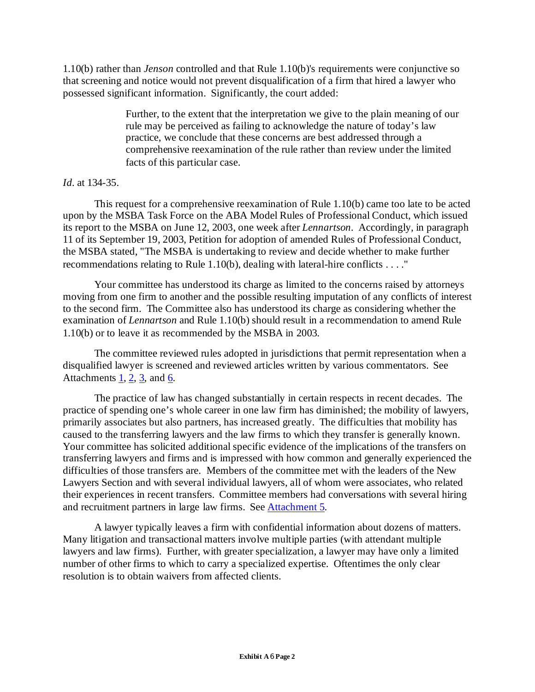1.10(b) rather than *Jenson* controlled and that Rule 1.10(b)'s requirements were conjunctive so that screening and notice would not prevent disqualification of a firm that hired a lawyer who possessed significant information. Significantly, the court added:

> Further, to the extent that the interpretation we give to the plain meaning of our rule may be perceived as failing to acknowledge the nature of today's law practice, we conclude that these concerns are best addressed through a comprehensive reexamination of the rule rather than review under the limited facts of this particular case.

#### *Id.* at 134-35.

 This request for a comprehensive reexamination of Rule 1.10(b) came too late to be acted upon by the MSBA Task Force on the ABA Model Rules of Professional Conduct, which issued its report to the MSBA on June 12, 2003, one week after *Lennartson*. Accordingly, in paragraph 11 of its September 19, 2003, Petition for adoption of amended Rules of Professional Conduct, the MSBA stated, "The MSBA is undertaking to review and decide whether to make further recommendations relating to Rule 1.10(b), dealing with lateral-hire conflicts . . . ."

 Your committee has understood its charge as limited to the concerns raised by attorneys moving from one firm to another and the possible resulting imputation of any conflicts of interest to the second firm. The Committee also has understood its charge as considering whether the examination of *Lennartson* and Rule 1.10(b) should result in a recommendation to amend Rule 1.10(b) or to leave it as recommended by the MSBA in 2003.

 The committee reviewed rules adopted in jurisdictions that permit representation when a disqualified lawyer is screened and reviewed articles written by various commentators. See Attachments 1, 2, 3, and 6.

 The practice of law has changed substantially in certain respects in recent decades. The practice of spending one's whole career in one law firm has diminished; the mobility of lawyers, primarily associates but also partners, has increased greatly. The difficulties that mobility has caused to the transferring lawyers and the law firms to which they transfer is generally known. Your committee has solicited additional specific evidence of the implications of the transfers on transferring lawyers and firms and is impressed with how common and generally experienced the difficulties of those transfers are. Members of the committee met with the leaders of the New Lawyers Section and with several individual lawyers, all of whom were associates, who related their experiences in recent transfers. Committee members had conversations with several hiring and recruitment partners in large law firms. See Attachment 5.

 A lawyer typically leaves a firm with confidential information about dozens of matters. Many litigation and transactional matters involve multiple parties (with attendant multiple lawyers and law firms). Further, with greater specialization, a lawyer may have only a limited number of other firms to which to carry a specialized expertise. Oftentimes the only clear resolution is to obtain waivers from affected clients.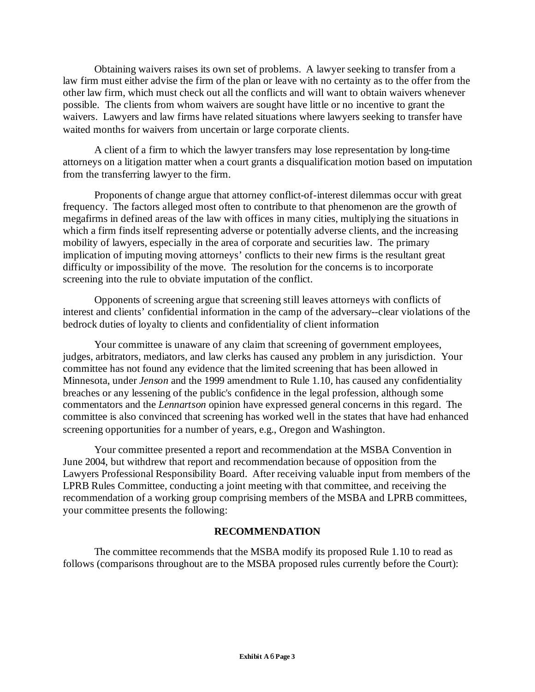Obtaining waivers raises its own set of problems. A lawyer seeking to transfer from a law firm must either advise the firm of the plan or leave with no certainty as to the offer from the other law firm, which must check out all the conflicts and will want to obtain waivers whenever possible. The clients from whom waivers are sought have little or no incentive to grant the waivers. Lawyers and law firms have related situations where lawyers seeking to transfer have waited months for waivers from uncertain or large corporate clients.

 A client of a firm to which the lawyer transfers may lose representation by long-time attorneys on a litigation matter when a court grants a disqualification motion based on imputation from the transferring lawyer to the firm.

 Proponents of change argue that attorney conflict-of-interest dilemmas occur with great frequency. The factors alleged most often to contribute to that phenomenon are the growth of megafirms in defined areas of the law with offices in many cities, multiplying the situations in which a firm finds itself representing adverse or potentially adverse clients, and the increasing mobility of lawyers, especially in the area of corporate and securities law. The primary implication of imputing moving attorneys' conflicts to their new firms is the resultant great difficulty or impossibility of the move. The resolution for the concerns is to incorporate screening into the rule to obviate imputation of the conflict.

 Opponents of screening argue that screening still leaves attorneys with conflicts of interest and clients' confidential information in the camp of the adversary--clear violations of the bedrock duties of loyalty to clients and confidentiality of client information

 Your committee is unaware of any claim that screening of government employees, judges, arbitrators, mediators, and law clerks has caused any problem in any jurisdiction. Your committee has not found any evidence that the limited screening that has been allowed in Minnesota, under *Jenson* and the 1999 amendment to Rule 1.10, has caused any confidentiality breaches or any lessening of the public's confidence in the legal profession, although some commentators and the *Lennartson* opinion have expressed general concerns in this regard. The committee is also convinced that screening has worked well in the states that have had enhanced screening opportunities for a number of years, e.g., Oregon and Washington.

Your committee presented a report and recommendation at the MSBA Convention in June 2004, but withdrew that report and recommendation because of opposition from the Lawyers Professional Responsibility Board. After receiving valuable input from members of the LPRB Rules Committee, conducting a joint meeting with that committee, and receiving the recommendation of a working group comprising members of the MSBA and LPRB committees, your committee presents the following:

#### **RECOMMENDATION**

The committee recommends that the MSBA modify its proposed Rule 1.10 to read as follows (comparisons throughout are to the MSBA proposed rules currently before the Court):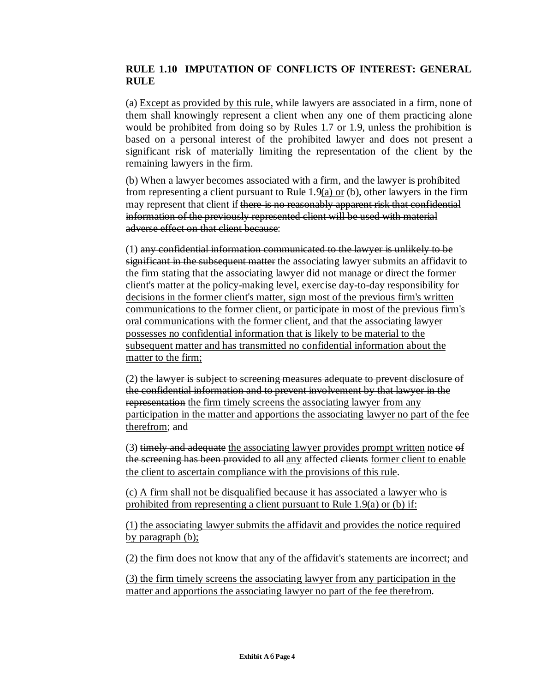## **RULE 1.10 IMPUTATION OF CONFLICTS OF INTEREST: GENERAL RULE**

(a) Except as provided by this rule, while lawyers are associated in a firm, none of them shall knowingly represent a client when any one of them practicing alone would be prohibited from doing so by Rules 1.7 or 1.9, unless the prohibition is based on a personal interest of the prohibited lawyer and does not present a significant risk of materially limiting the representation of the client by the remaining lawyers in the firm.

(b) When a lawyer becomes associated with a firm, and the lawyer is prohibited from representing a client pursuant to Rule 1.9(a) or (b), other lawyers in the firm may represent that client if there is no reasonably apparent risk that confidential information of the previously represented client will be used with material adverse effect on that client because:

(1) any confidential information communicated to the lawyer is unlikely to be significant in the subsequent matter the associating lawyer submits an affidavit to the firm stating that the associating lawyer did not manage or direct the former client's matter at the policy-making level, exercise day-to-day responsibility for decisions in the former client's matter, sign most of the previous firm's written communications to the former client, or participate in most of the previous firm's oral communications with the former client, and that the associating lawyer possesses no confidential information that is likely to be material to the subsequent matter and has transmitted no confidential information about the matter to the firm;

(2) the lawyer is subject to screening measures adequate to prevent disclosure of the confidential information and to prevent involvement by that lawyer in the representation the firm timely screens the associating lawyer from any participation in the matter and apportions the associating lawyer no part of the fee therefrom; and

(3) timely and adequate the associating lawyer provides prompt written notice of the screening has been provided to all any affected clients former client to enable the client to ascertain compliance with the provisions of this rule.

(c) A firm shall not be disqualified because it has associated a lawyer who is prohibited from representing a client pursuant to Rule 1.9(a) or (b) if:

(1) the associating lawyer submits the affidavit and provides the notice required by paragraph (b);

(2) the firm does not know that any of the affidavit's statements are incorrect; and

(3) the firm timely screens the associating lawyer from any participation in the matter and apportions the associating lawyer no part of the fee therefrom.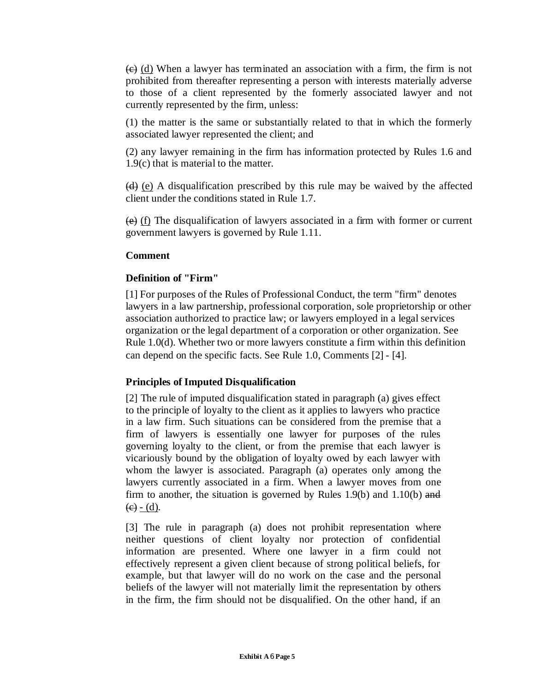$\leftrightarrow$  (d) When a lawyer has terminated an association with a firm, the firm is not prohibited from thereafter representing a person with interests materially adverse to those of a client represented by the formerly associated lawyer and not currently represented by the firm, unless:

(1) the matter is the same or substantially related to that in which the formerly associated lawyer represented the client; and

(2) any lawyer remaining in the firm has information protected by Rules 1.6 and 1.9(c) that is material to the matter.

(d) (e) A disqualification prescribed by this rule may be waived by the affected client under the conditions stated in Rule 1.7.

 $(e)$  (f) The disqualification of lawyers associated in a firm with former or current government lawyers is governed by Rule 1.11.

#### **Comment**

## **Definition of "Firm"**

[1] For purposes of the Rules of Professional Conduct, the term "firm" denotes lawyers in a law partnership, professional corporation, sole proprietorship or other association authorized to practice law; or lawyers employed in a legal services organization or the legal department of a corporation or other organization. See Rule 1.0(d). Whether two or more lawyers constitute a firm within this definition can depend on the specific facts. See Rule 1.0, Comments [2] - [4].

## **Principles of Imputed Disqualification**

[2] The rule of imputed disqualification stated in paragraph (a) gives effect to the principle of loyalty to the client as it applies to lawyers who practice in a law firm. Such situations can be considered from the premise that a firm of lawyers is essentially one lawyer for purposes of the rules governing loyalty to the client, or from the premise that each lawyer is vicariously bound by the obligation of loyalty owed by each lawyer with whom the lawyer is associated. Paragraph (a) operates only among the lawyers currently associated in a firm. When a lawyer moves from one firm to another, the situation is governed by Rules 1.9(b) and 1.10(b) and  $(e) - (d)$ .

[3] The rule in paragraph (a) does not prohibit representation where neither questions of client loyalty nor protection of confidential information are presented. Where one lawyer in a firm could not effectively represent a given client because of strong political beliefs, for example, but that lawyer will do no work on the case and the personal beliefs of the lawyer will not materially limit the representation by others in the firm, the firm should not be disqualified. On the other hand, if an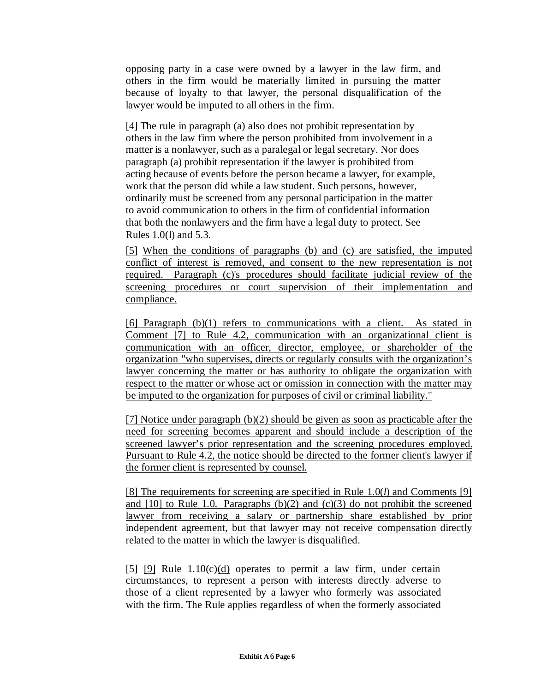opposing party in a case were owned by a lawyer in the law firm, and others in the firm would be materially limited in pursuing the matter because of loyalty to that lawyer, the personal disqualification of the lawyer would be imputed to all others in the firm.

[4] The rule in paragraph (a) also does not prohibit representation by others in the law firm where the person prohibited from involvement in a matter is a nonlawyer, such as a paralegal or legal secretary. Nor does paragraph (a) prohibit representation if the lawyer is prohibited from acting because of events before the person became a lawyer, for example, work that the person did while a law student. Such persons, however, ordinarily must be screened from any personal participation in the matter to avoid communication to others in the firm of confidential information that both the nonlawyers and the firm have a legal duty to protect. See Rules 1.0(l) and 5.3.

[5] When the conditions of paragraphs (b) and (c) are satisfied, the imputed conflict of interest is removed, and consent to the new representation is not required. Paragraph (c)'s procedures should facilitate judicial review of the screening procedures or court supervision of their implementation and compliance.

[6] Paragraph (b)(1) refers to communications with a client. As stated in Comment [7] to Rule 4.2, communication with an organizational client is communication with an officer, director, employee, or shareholder of the organization "who supervises, directs or regularly consults with the organization's lawyer concerning the matter or has authority to obligate the organization with respect to the matter or whose act or omission in connection with the matter may be imputed to the organization for purposes of civil or criminal liability."

[7] Notice under paragraph (b)(2) should be given as soon as practicable after the need for screening becomes apparent and should include a description of the screened lawyer's prior representation and the screening procedures employed. Pursuant to Rule 4.2, the notice should be directed to the former client's lawyer if the former client is represented by counsel.

[8] The requirements for screening are specified in Rule 1.0(*l*) and Comments [9] and  $[10]$  to Rule 1.0. Paragraphs  $(b)(2)$  and  $(c)(3)$  do not prohibit the screened lawyer from receiving a salary or partnership share established by prior independent agreement, but that lawyer may not receive compensation directly related to the matter in which the lawyer is disqualified.

 $[5]$  [9] Rule 1.10 $(\epsilon)$ (d) operates to permit a law firm, under certain circumstances, to represent a person with interests directly adverse to those of a client represented by a lawyer who formerly was associated with the firm. The Rule applies regardless of when the formerly associated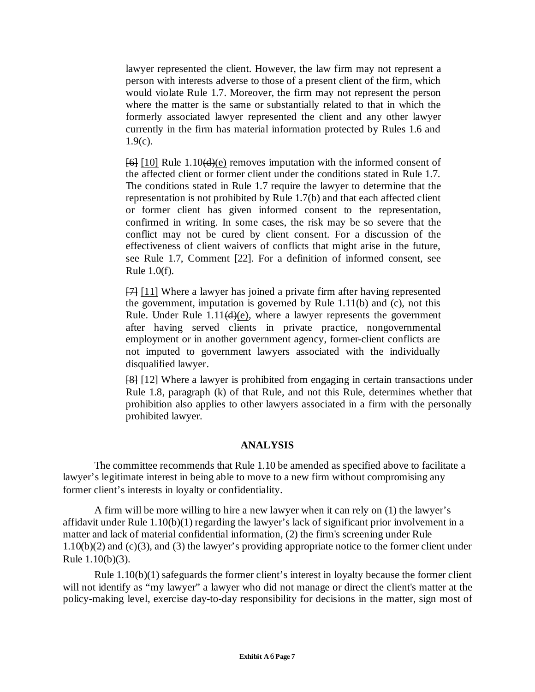lawyer represented the client. However, the law firm may not represent a person with interests adverse to those of a present client of the firm, which would violate Rule 1.7. Moreover, the firm may not represent the person where the matter is the same or substantially related to that in which the formerly associated lawyer represented the client and any other lawyer currently in the firm has material information protected by Rules 1.6 and 1.9(c).

 $[6]$  [10] Rule 1.10(d)(e) removes imputation with the informed consent of the affected client or former client under the conditions stated in Rule 1.7. The conditions stated in Rule 1.7 require the lawyer to determine that the representation is not prohibited by Rule 1.7(b) and that each affected client or former client has given informed consent to the representation, confirmed in writing. In some cases, the risk may be so severe that the conflict may not be cured by client consent. For a discussion of the effectiveness of client waivers of conflicts that might arise in the future, see Rule 1.7, Comment [22]. For a definition of informed consent, see Rule 1.0(f).

[7] [11] Where a lawyer has joined a private firm after having represented the government, imputation is governed by Rule 1.11(b) and (c), not this Rule. Under Rule  $1.11\left(\frac{d}{e}\right)$ , where a lawyer represents the government after having served clients in private practice, nongovernmental employment or in another government agency, former-client conflicts are not imputed to government lawyers associated with the individually disqualified lawyer.

[8] [12] Where a lawyer is prohibited from engaging in certain transactions under Rule 1.8, paragraph (k) of that Rule, and not this Rule, determines whether that prohibition also applies to other lawyers associated in a firm with the personally prohibited lawyer.

#### **ANALYSIS**

 The committee recommends that Rule 1.10 be amended as specified above to facilitate a lawyer's legitimate interest in being able to move to a new firm without compromising any former client's interests in loyalty or confidentiality.

A firm will be more willing to hire a new lawyer when it can rely on (1) the lawyer's affidavit under Rule 1.10(b)(1) regarding the lawyer's lack of significant prior involvement in a matter and lack of material confidential information, (2) the firm's screening under Rule  $1.10(b)(2)$  and (c)(3), and (3) the lawyer's providing appropriate notice to the former client under Rule 1.10(b)(3).

Rule 1.10(b)(1) safeguards the former client's interest in loyalty because the former client will not identify as "my lawyer" a lawyer who did not manage or direct the client's matter at the policy-making level, exercise day-to-day responsibility for decisions in the matter, sign most of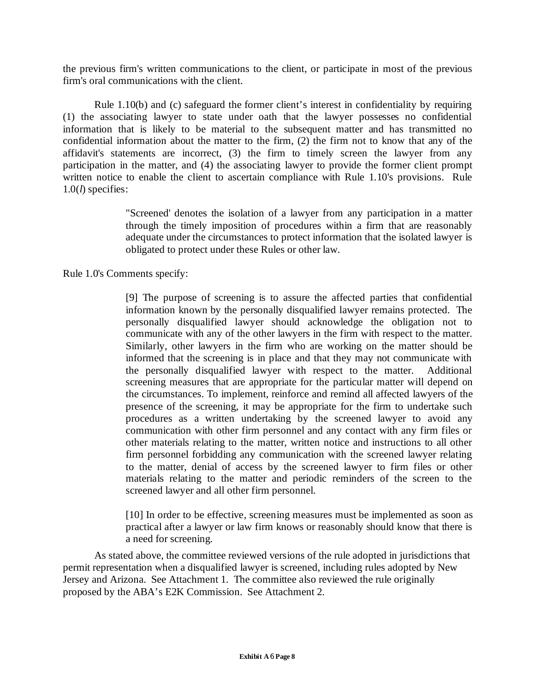the previous firm's written communications to the client, or participate in most of the previous firm's oral communications with the client.

Rule 1.10(b) and (c) safeguard the former client's interest in confidentiality by requiring (1) the associating lawyer to state under oath that the lawyer possesses no confidential information that is likely to be material to the subsequent matter and has transmitted no confidential information about the matter to the firm,  $(2)$  the firm not to know that any of the affidavit's statements are incorrect, (3) the firm to timely screen the lawyer from any participation in the matter, and (4) the associating lawyer to provide the former client prompt written notice to enable the client to ascertain compliance with Rule 1.10's provisions. Rule 1.0(*l*) specifies:

> "Screened' denotes the isolation of a lawyer from any participation in a matter through the timely imposition of procedures within a firm that are reasonably adequate under the circumstances to protect information that the isolated lawyer is obligated to protect under these Rules or other law.

Rule 1.0's Comments specify:

[9] The purpose of screening is to assure the affected parties that confidential information known by the personally disqualified lawyer remains protected. The personally disqualified lawyer should acknowledge the obligation not to communicate with any of the other lawyers in the firm with respect to the matter. Similarly, other lawyers in the firm who are working on the matter should be informed that the screening is in place and that they may not communicate with the personally disqualified lawyer with respect to the matter. Additional screening measures that are appropriate for the particular matter will depend on the circumstances. To implement, reinforce and remind all affected lawyers of the presence of the screening, it may be appropriate for the firm to undertake such procedures as a written undertaking by the screened lawyer to avoid any communication with other firm personnel and any contact with any firm files or other materials relating to the matter, written notice and instructions to all other firm personnel forbidding any communication with the screened lawyer relating to the matter, denial of access by the screened lawyer to firm files or other materials relating to the matter and periodic reminders of the screen to the screened lawyer and all other firm personnel.

[10] In order to be effective, screening measures must be implemented as soon as practical after a lawyer or law firm knows or reasonably should know that there is a need for screening.

 As stated above, the committee reviewed versions of the rule adopted in jurisdictions that permit representation when a disqualified lawyer is screened, including rules adopted by New Jersey and Arizona. See Attachment 1. The committee also reviewed the rule originally proposed by the ABA's E2K Commission. See Attachment 2.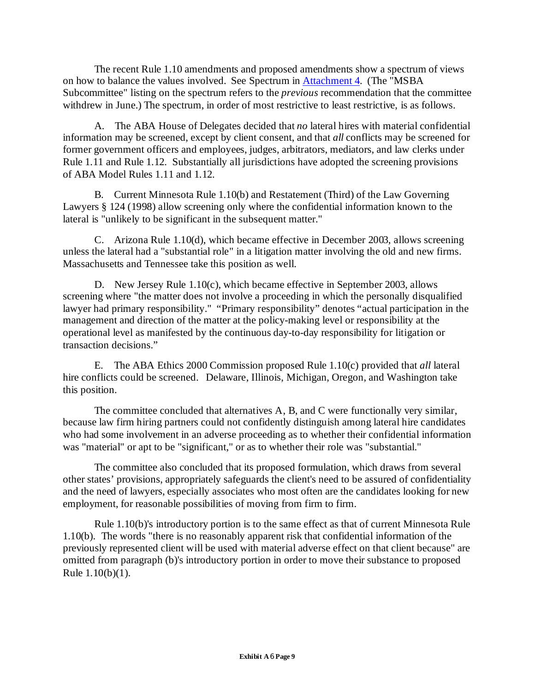The recent Rule 1.10 amendments and proposed amendments show a spectrum of views on how to balance the values involved. See Spectrum in Attachment 4. (The "MSBA Subcommittee" listing on the spectrum refers to the *previous* recommendation that the committee withdrew in June.) The spectrum, in order of most restrictive to least restrictive, is as follows.

 A. The ABA House of Delegates decided that *no* lateral hires with material confidential information may be screened, except by client consent, and that *all* conflicts may be screened for former government officers and employees, judges, arbitrators, mediators, and law clerks under Rule 1.11 and Rule 1.12. Substantially all jurisdictions have adopted the screening provisions of ABA Model Rules 1.11 and 1.12.

 B. Current Minnesota Rule 1.10(b) and Restatement (Third) of the Law Governing Lawyers § 124 (1998) allow screening only where the confidential information known to the lateral is "unlikely to be significant in the subsequent matter."

 C. Arizona Rule 1.10(d), which became effective in December 2003, allows screening unless the lateral had a "substantial role" in a litigation matter involving the old and new firms. Massachusetts and Tennessee take this position as well.

 D. New Jersey Rule 1.10(c), which became effective in September 2003, allows screening where "the matter does not involve a proceeding in which the personally disqualified lawyer had primary responsibility." "Primary responsibility" denotes "actual participation in the management and direction of the matter at the policy-making level or responsibility at the operational level as manifested by the continuous day-to-day responsibility for litigation or transaction decisions."

 E. The ABA Ethics 2000 Commission proposed Rule 1.10(c) provided that *all* lateral hire conflicts could be screened. Delaware, Illinois, Michigan, Oregon, and Washington take this position.

 The committee concluded that alternatives A, B, and C were functionally very similar, because law firm hiring partners could not confidently distinguish among lateral hire candidates who had some involvement in an adverse proceeding as to whether their confidential information was "material" or apt to be "significant," or as to whether their role was "substantial."

 The committee also concluded that its proposed formulation, which draws from several other states' provisions, appropriately safeguards the client's need to be assured of confidentiality and the need of lawyers, especially associates who most often are the candidates looking for new employment, for reasonable possibilities of moving from firm to firm.

Rule 1.10(b)'s introductory portion is to the same effect as that of current Minnesota Rule 1.10(b). The words "there is no reasonably apparent risk that confidential information of the previously represented client will be used with material adverse effect on that client because" are omitted from paragraph (b)'s introductory portion in order to move their substance to proposed Rule 1.10(b)(1).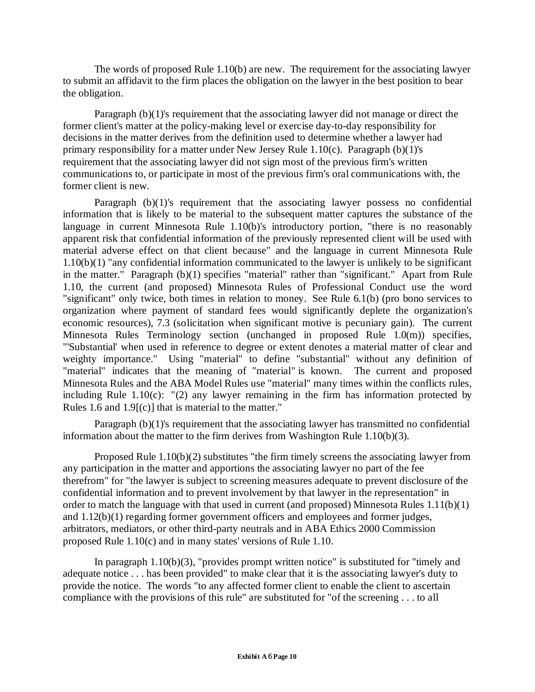The words of proposed Rule 1.10(b) are new. The requirement for the associating lawyer to submit an affidavit to the firm places the obligation on the lawyer in the best position to bear the obligation.

Paragraph (b)(1)'s requirement that the associating lawyer did not manage or direct the former client's matter at the policy-making level or exercise day-to-day responsibility for decisions in the matter derives from the definition used to determine whether a lawyer had primary responsibility for a matter under New Jersey Rule 1.10(c). Paragraph (b)(1)'s requirement that the associating lawyer did not sign most of the previous firm's written communications to, or participate in most of the previous firm's oral communications with, the former client is new.

Paragraph (b)(1)'s requirement that the associating lawyer possess no confidential information that is likely to be material to the subsequent matter captures the substance of the language in current Minnesota Rule 1.10(b)'s introductory portion, "there is no reasonably apparent risk that confidential information of the previously represented client will be used with material adverse effect on that client because" and the language in current Minnesota Rule 1.10(b)(1) "any confidential information communicated to the lawyer is unlikely to be significant in the matter." Paragraph (b)(1) specifies "material" rather than "significant." Apart from Rule 1.10, the current (and proposed) Minnesota Rules of Professional Conduct use the word "significant" only twice, both times in relation to money. See Rule 6.1(b) (pro bono services to organization where payment of standard fees would significantly deplete the organization's economic resources), 7.3 (solicitation when significant motive is pecuniary gain). The current Minnesota Rules Terminology section (unchanged in proposed Rule 1.0(m)) specifies, "'Substantial' when used in reference to degree or extent denotes a material matter of clear and weighty importance." Using "material" to define "substantial" without any definition of "material" indicates that the meaning of "material" is known. The current and proposed Minnesota Rules and the ABA Model Rules use "material" many times within the conflicts rules, including Rule 1.10(c): "(2) any lawyer remaining in the firm has information protected by Rules 1.6 and 1.9[(c)] that is material to the matter."

Paragraph (b)(1)'s requirement that the associating lawyer has transmitted no confidential information about the matter to the firm derives from Washington Rule 1.10(b)(3).

Proposed Rule 1.10(b)(2) substitutes "the firm timely screens the associating lawyer from any participation in the matter and apportions the associating lawyer no part of the fee therefrom" for "the lawyer is subject to screening measures adequate to prevent disclosure of the confidential information and to prevent involvement by that lawyer in the representation" in order to match the language with that used in current (and proposed) Minnesota Rules 1.11(b)(1) and 1.12(b)(1) regarding former government officers and employees and former judges, arbitrators, mediators, or other third-party neutrals and in ABA Ethics 2000 Commission proposed Rule 1.10(c) and in many states' versions of Rule 1.10.

In paragraph 1.10(b)(3), "provides prompt written notice" is substituted for "timely and adequate notice . . . has been provided" to make clear that it is the associating lawyer's duty to provide the notice. The words "to any affected former client to enable the client to ascertain compliance with the provisions of this rule" are substituted for "of the screening . . . to all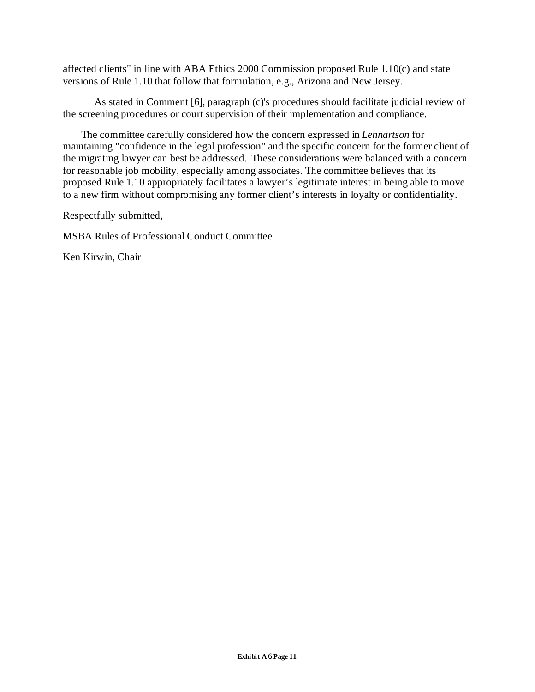affected clients" in line with ABA Ethics 2000 Commission proposed Rule 1.10(c) and state versions of Rule 1.10 that follow that formulation, e.g., Arizona and New Jersey.

As stated in Comment [6], paragraph (c)'s procedures should facilitate judicial review of the screening procedures or court supervision of their implementation and compliance.

 The committee carefully considered how the concern expressed in *Lennartson* for maintaining "confidence in the legal profession" and the specific concern for the former client of the migrating lawyer can best be addressed. These considerations were balanced with a concern for reasonable job mobility, especially among associates. The committee believes that its proposed Rule 1.10 appropriately facilitates a lawyer's legitimate interest in being able to move to a new firm without compromising any former client's interests in loyalty or confidentiality.

Respectfully submitted,

MSBA Rules of Professional Conduct Committee

Ken Kirwin, Chair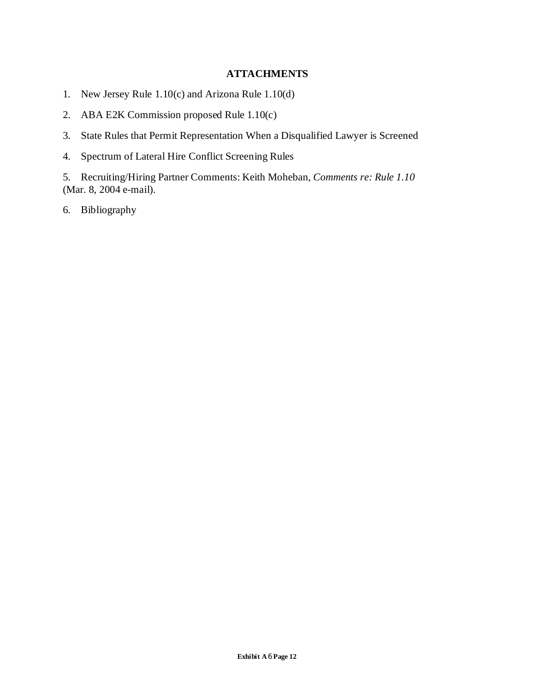## **ATTACHMENTS**

- 1. New Jersey Rule 1.10(c) and Arizona Rule 1.10(d)
- 2. ABA E2K Commission proposed Rule 1.10(c)
- 3. State Rules that Permit Representation When a Disqualified Lawyer is Screened
- 4. Spectrum of Lateral Hire Conflict Screening Rules

5. Recruiting/Hiring Partner Comments: Keith Moheban, *Comments re: Rule 1.10* (Mar. 8, 2004 e-mail).

6. Bibliography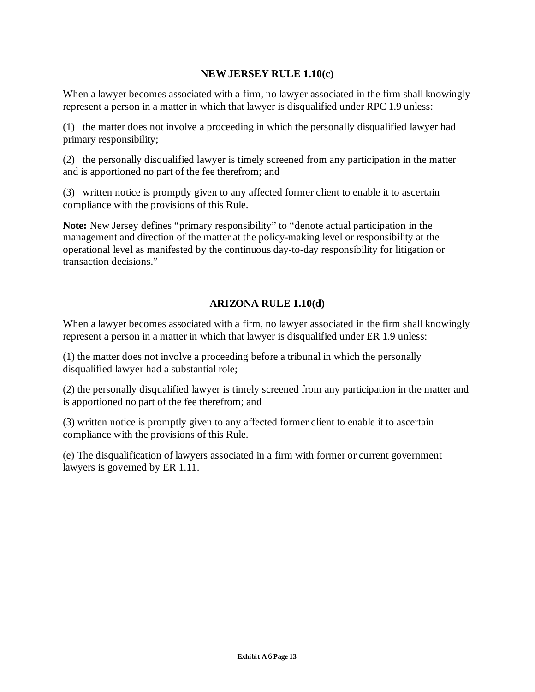#### **NEWJERSEY RULE 1.10(c)**

When a lawyer becomes associated with a firm, no lawyer associated in the firm shall knowingly represent a person in a matter in which that lawyer is disqualified under RPC 1.9 unless:

(1) the matter does not involve a proceeding in which the personally disqualified lawyer had primary responsibility;

(2) the personally disqualified lawyer is timely screened from any participation in the matter and is apportioned no part of the fee therefrom; and

(3) written notice is promptly given to any affected former client to enable it to ascertain compliance with the provisions of this Rule.

**Note:** New Jersey defines "primary responsibility" to "denote actual participation in the management and direction of the matter at the policy-making level or responsibility at the operational level as manifested by the continuous day-to-day responsibility for litigation or transaction decisions."

## **ARIZONA RULE 1.10(d)**

When a lawyer becomes associated with a firm, no lawyer associated in the firm shall knowingly represent a person in a matter in which that lawyer is disqualified under ER 1.9 unless:

(1) the matter does not involve a proceeding before a tribunal in which the personally disqualified lawyer had a substantial role;

(2) the personally disqualified lawyer is timely screened from any participation in the matter and is apportioned no part of the fee therefrom; and

(3) written notice is promptly given to any affected former client to enable it to ascertain compliance with the provisions of this Rule.

(e) The disqualification of lawyers associated in a firm with former or current government lawyers is governed by ER 1.11.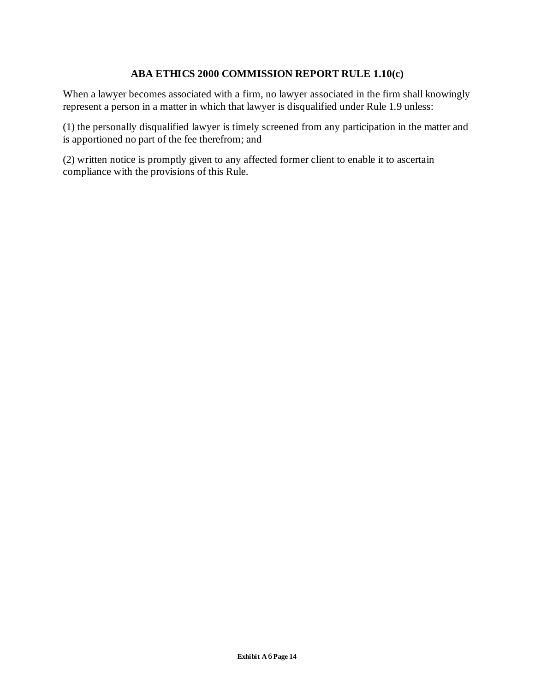## **ABA ETHICS 2000 COMMISSION REPORT RULE 1.10(c)**

When a lawyer becomes associated with a firm, no lawyer associated in the firm shall knowingly represent a person in a matter in which that lawyer is disqualified under Rule 1.9 unless:

(1) the personally disqualified lawyer is timely screened from any participation in the matter and is apportioned no part of the fee therefrom; and

(2) written notice is promptly given to any affected former client to enable it to ascertain compliance with the provisions of this Rule.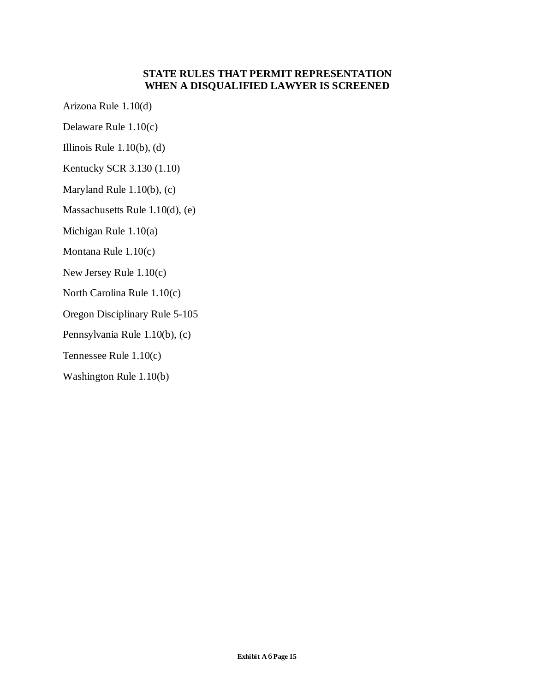#### **STATE RULES THAT PERMIT REPRESENTATION WHEN A DISQUALIFIED LAWYER IS SCREENED**

Arizona Rule 1.10(d)

Delaware Rule 1.10(c)

Illinois Rule 1.10(b), (d)

Kentucky SCR 3.130 (1.10)

Maryland Rule 1.10(b), (c)

Massachusetts Rule 1.10(d), (e)

Michigan Rule 1.10(a)

Montana Rule 1.10(c)

New Jersey Rule 1.10(c)

North Carolina Rule 1.10(c)

Oregon Disciplinary Rule 5-105

Pennsylvania Rule 1.10(b), (c)

Tennessee Rule 1.10(c)

Washington Rule 1.10(b)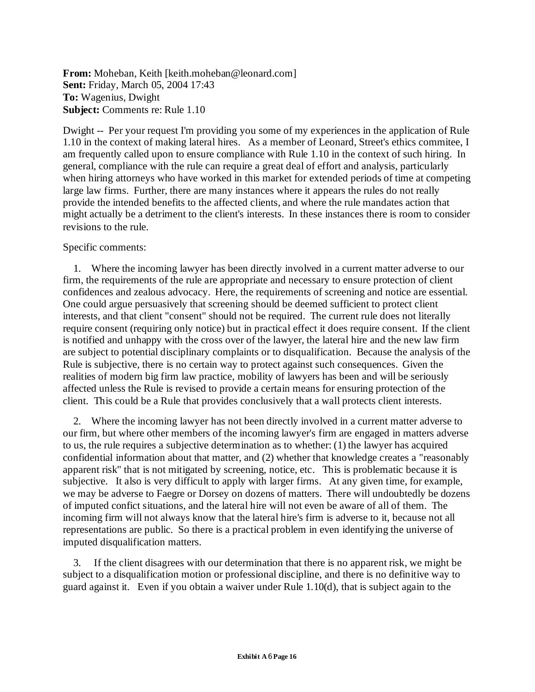From: Moheban, Keith [keith.moheban@leonard.com] **Sent:** Friday, March 05, 2004 17:43 **To:** Wagenius, Dwight **Subject:** Comments re: Rule 1.10

Dwight -- Per your request I'm providing you some of my experiences in the application of Rule 1.10 in the context of making lateral hires. As a member of Leonard, Street's ethics commitee, I am frequently called upon to ensure compliance with Rule 1.10 in the context of such hiring. In general, compliance with the rule can require a great deal of effort and analysis, particularly when hiring attorneys who have worked in this market for extended periods of time at competing large law firms. Further, there are many instances where it appears the rules do not really provide the intended benefits to the affected clients, and where the rule mandates action that might actually be a detriment to the client's interests. In these instances there is room to consider revisions to the rule.

Specific comments:

 1. Where the incoming lawyer has been directly involved in a current matter adverse to our firm, the requirements of the rule are appropriate and necessary to ensure protection of client confidences and zealous advocacy. Here, the requirements of screening and notice are essential. One could argue persuasively that screening should be deemed sufficient to protect client interests, and that client "consent" should not be required. The current rule does not literally require consent (requiring only notice) but in practical effect it does require consent. If the client is notified and unhappy with the cross over of the lawyer, the lateral hire and the new law firm are subject to potential disciplinary complaints or to disqualification. Because the analysis of the Rule is subjective, there is no certain way to protect against such consequences. Given the realities of modern big firm law practice, mobility of lawyers has been and will be seriously affected unless the Rule is revised to provide a certain means for ensuring protection of the client. This could be a Rule that provides conclusively that a wall protects client interests.

 2. Where the incoming lawyer has not been directly involved in a current matter adverse to our firm, but where other members of the incoming lawyer's firm are engaged in matters adverse to us, the rule requires a subjective determination as to whether: (1) the lawyer has acquired confidential information about that matter, and (2) whether that knowledge creates a "reasonably apparent risk" that is not mitigated by screening, notice, etc. This is problematic because it is subjective. It also is very difficult to apply with larger firms. At any given time, for example, we may be adverse to Faegre or Dorsey on dozens of matters. There will undoubtedly be dozens of imputed confict situations, and the lateral hire will not even be aware of all of them. The incoming firm will not always know that the lateral hire's firm is adverse to it, because not all representations are public. So there is a practical problem in even identifying the universe of imputed disqualification matters.

 3. If the client disagrees with our determination that there is no apparent risk, we might be subject to a disqualification motion or professional discipline, and there is no definitive way to guard against it. Even if you obtain a waiver under Rule 1.10(d), that is subject again to the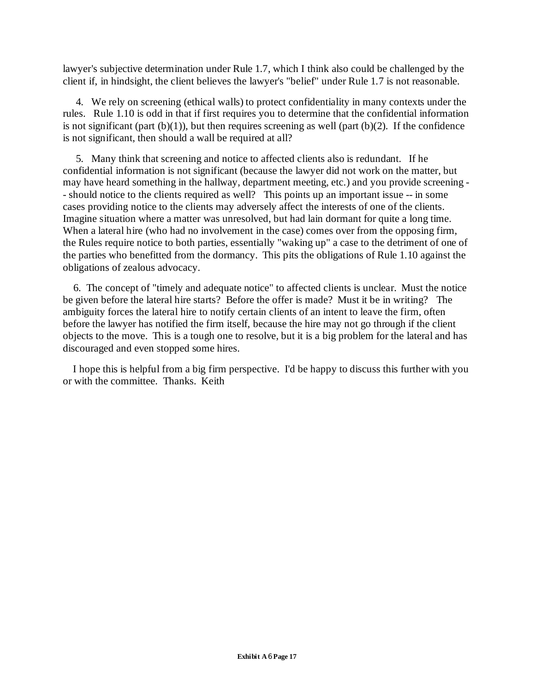lawyer's subjective determination under Rule 1.7, which I think also could be challenged by the client if, in hindsight, the client believes the lawyer's "belief" under Rule 1.7 is not reasonable.

 4. We rely on screening (ethical walls) to protect confidentiality in many contexts under the rules. Rule 1.10 is odd in that if first requires you to determine that the confidential information is not significant (part  $(b)(1)$ ), but then requires screening as well (part  $(b)(2)$ ). If the confidence is not significant, then should a wall be required at all?

 5. Many think that screening and notice to affected clients also is redundant. If he confidential information is not significant (because the lawyer did not work on the matter, but may have heard something in the hallway, department meeting, etc.) and you provide screening - - should notice to the clients required as well? This points up an important issue -- in some cases providing notice to the clients may adversely affect the interests of one of the clients. Imagine situation where a matter was unresolved, but had lain dormant for quite a long time. When a lateral hire (who had no involvement in the case) comes over from the opposing firm, the Rules require notice to both parties, essentially "waking up" a case to the detriment of one of the parties who benefitted from the dormancy. This pits the obligations of Rule 1.10 against the obligations of zealous advocacy.

 6. The concept of "timely and adequate notice" to affected clients is unclear. Must the notice be given before the lateral hire starts? Before the offer is made? Must it be in writing? The ambiguity forces the lateral hire to notify certain clients of an intent to leave the firm, often before the lawyer has notified the firm itself, because the hire may not go through if the client objects to the move. This is a tough one to resolve, but it is a big problem for the lateral and has discouraged and even stopped some hires.

 I hope this is helpful from a big firm perspective. I'd be happy to discuss this further with you or with the committee. Thanks. Keith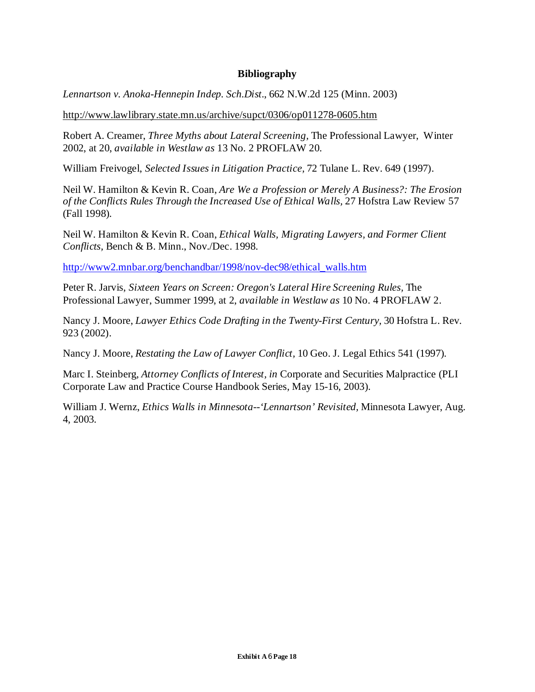#### **Bibliography**

*Lennartson v. Anoka-Hennepin Indep. Sch.Dist.*, 662 N.W.2d 125 (Minn. 2003)

http://www.lawlibrary.state.mn.us/archive/supct/0306/op011278-0605.htm

Robert A. Creamer, *Three Myths about Lateral Screening,* The Professional Lawyer, Winter 2002, at 20, *available in Westlaw as* 13 No. 2 PROFLAW 20.

William Freivogel, *Selected Issues in Litigation Practice,* 72 Tulane L. Rev. 649 (1997).

Neil W. Hamilton & Kevin R. Coan, *Are We a Profession or Merely A Business?: The Erosion of the Conflicts Rules Through the Increased Use of Ethical Walls,* 27 Hofstra Law Review 57 (Fall 1998).

Neil W. Hamilton & Kevin R. Coan, *Ethical Walls, Migrating Lawyers, and Former Client Conflicts,* Bench & B. Minn., Nov./Dec. 1998.

http://www2.mnbar.org/benchandbar/1998/nov-dec98/ethical\_walls.htm

Peter R. Jarvis, *Sixteen Years on Screen: Oregon's Lateral Hire Screening Rules,* The Professional Lawyer, Summer 1999, at 2, *available in Westlaw as* 10 No. 4 PROFLAW 2.

Nancy J. Moore, *Lawyer Ethics Code Drafting in the Twenty-First Century,* 30 Hofstra L. Rev. 923 (2002).

Nancy J. Moore, *Restating the Law of Lawyer Conflict,* 10 Geo. J. Legal Ethics 541 (1997).

Marc I. Steinberg, *Attorney Conflicts of Interest, in* Corporate and Securities Malpractice (PLI Corporate Law and Practice Course Handbook Series, May 15-16, 2003).

William J. Wernz, *Ethics Walls in Minnesota--'Lennartson' Revisited,* Minnesota Lawyer, Aug. 4, 2003.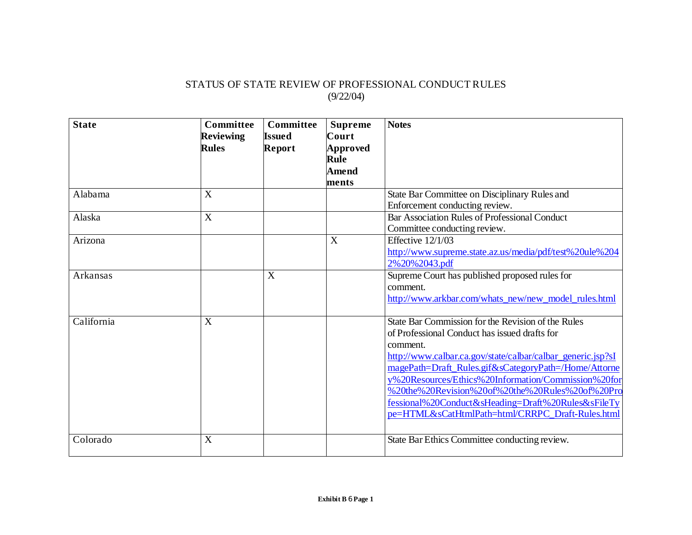## STATUS OF STATE REVIEW OF PROFESSIONAL CONDUCT RULES (9/22/04)

| <b>State</b> | Committee<br><b>Reviewing</b><br><b>Rules</b> | Committee<br><b>Issued</b><br><b>Report</b> | <b>Supreme</b><br>Court<br>Approved<br><b>Rule</b><br><b>Amend</b><br>ments | <b>Notes</b>                                                                                                                                                                                                                                                                                                                                                                                                                                               |
|--------------|-----------------------------------------------|---------------------------------------------|-----------------------------------------------------------------------------|------------------------------------------------------------------------------------------------------------------------------------------------------------------------------------------------------------------------------------------------------------------------------------------------------------------------------------------------------------------------------------------------------------------------------------------------------------|
| Alabama      | $\mathbf X$                                   |                                             |                                                                             | State Bar Committee on Disciplinary Rules and<br>Enforcement conducting review.                                                                                                                                                                                                                                                                                                                                                                            |
| Alaska       | $\overline{\mathrm{X}}$                       |                                             |                                                                             | <b>Bar Association Rules of Professional Conduct</b><br>Committee conducting review.                                                                                                                                                                                                                                                                                                                                                                       |
| Arizona      |                                               |                                             | X                                                                           | Effective 12/1/03<br>http://www.supreme.state.az.us/media/pdf/test%20ule%204<br>2%20%2043.pdf                                                                                                                                                                                                                                                                                                                                                              |
| Arkansas     |                                               | X                                           |                                                                             | Supreme Court has published proposed rules for<br>comment.<br>http://www.arkbar.com/whats_new/new_model_rules.html                                                                                                                                                                                                                                                                                                                                         |
| California   | X                                             |                                             |                                                                             | State Bar Commission for the Revision of the Rules<br>of Professional Conduct has issued drafts for<br>comment.<br>http://www.calbar.ca.gov/state/calbar/calbar_generic.jsp?sI<br>magePath=Draft_Rules.gif&sCategoryPath=/Home/Attorne<br>y%20Resources/Ethics%20Information/Commission%20for<br>%20the%20Revision%20of%20the%20Rules%20of%20Pro<br>fessional%20Conduct&sHeading=Draft%20Rules&sFileTy<br>pe=HTML&sCatHtmlPath=html/CRRPC_Draft-Rules.html |
| Colorado     | X                                             |                                             |                                                                             | State Bar Ethics Committee conducting review.                                                                                                                                                                                                                                                                                                                                                                                                              |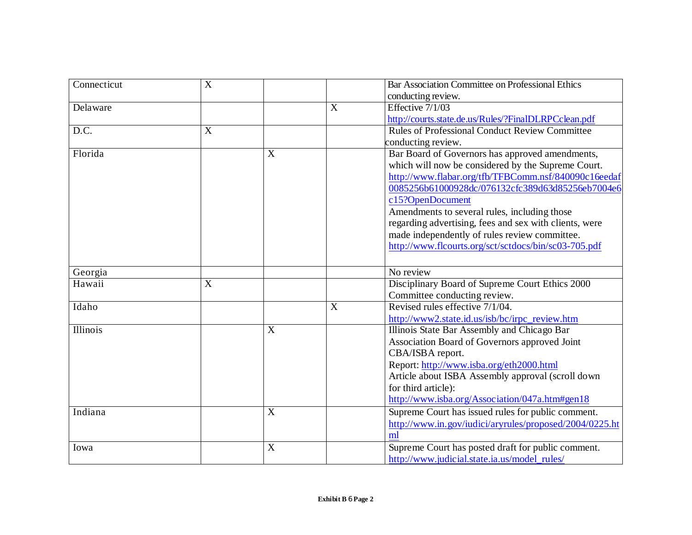| Connecticut | $\overline{X}$ |   |                       | <b>Bar Association Committee on Professional Ethics</b> |
|-------------|----------------|---|-----------------------|---------------------------------------------------------|
|             |                |   |                       | conducting review.                                      |
| Delaware    |                |   | $\overline{\text{X}}$ | Effective 7/1/03                                        |
|             |                |   |                       | http://courts.state.de.us/Rules/?FinalDLRPCclean.pdf    |
| D.C.        | $\mathbf X$    |   |                       | <b>Rules of Professional Conduct Review Committee</b>   |
|             |                |   |                       | conducting review.                                      |
| Florida     |                | X |                       | Bar Board of Governors has approved amendments,         |
|             |                |   |                       | which will now be considered by the Supreme Court.      |
|             |                |   |                       | http://www.flabar.org/tfb/TFBComm.nsf/840090c16eedaf    |
|             |                |   |                       | 0085256b61000928dc/076132cfc389d63d85256eb7004e6        |
|             |                |   |                       | c15?OpenDocument                                        |
|             |                |   |                       | Amendments to several rules, including those            |
|             |                |   |                       | regarding advertising, fees and sex with clients, were  |
|             |                |   |                       | made independently of rules review committee.           |
|             |                |   |                       | http://www.flcourts.org/sct/sctdocs/bin/sc03-705.pdf    |
|             |                |   |                       |                                                         |
| Georgia     |                |   |                       | No review                                               |
| Hawaii      | X              |   |                       | Disciplinary Board of Supreme Court Ethics 2000         |
|             |                |   |                       | Committee conducting review.                            |
| Idaho       |                |   | $\boldsymbol{X}$      | Revised rules effective 7/1/04.                         |
|             |                |   |                       | http://www2.state.id.us/isb/bc/irpc_review.htm          |
| Illinois    |                | X |                       | Illinois State Bar Assembly and Chicago Bar             |
|             |                |   |                       | Association Board of Governors approved Joint           |
|             |                |   |                       | CBA/ISBA report.                                        |
|             |                |   |                       | Report: http://www.isba.org/eth2000.html                |
|             |                |   |                       | Article about ISBA Assembly approval (scroll down       |
|             |                |   |                       | for third article):                                     |
|             |                |   |                       | http://www.isba.org/Association/047a.htm#gen18          |
| Indiana     |                | X |                       | Supreme Court has issued rules for public comment.      |
|             |                |   |                       | http://www.in.gov/iudici/aryrules/proposed/2004/0225.ht |
|             |                |   |                       | ml                                                      |
| Iowa        |                | X |                       | Supreme Court has posted draft for public comment.      |
|             |                |   |                       | http://www.judicial.state.ia.us/model_rules/            |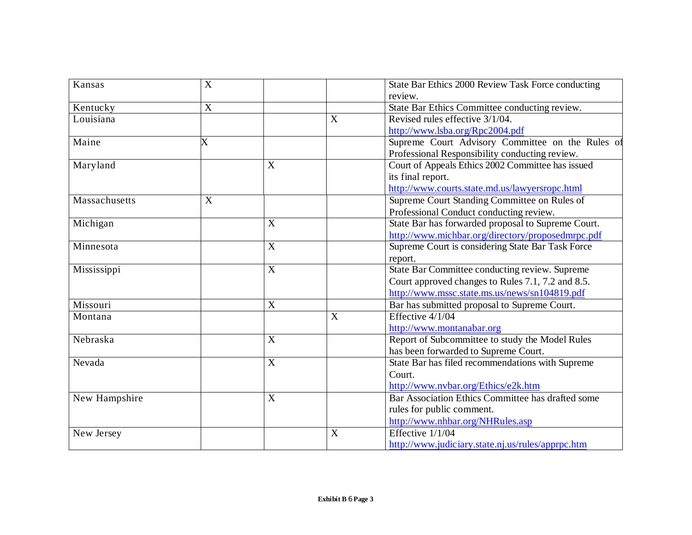| Kansas        | $\overline{X}$        |                |             | State Bar Ethics 2000 Review Task Force conducting |
|---------------|-----------------------|----------------|-------------|----------------------------------------------------|
|               |                       |                |             | review.                                            |
| Kentucky      | $\overline{X}$        |                |             | State Bar Ethics Committee conducting review.      |
| Louisiana     |                       |                | X           | Revised rules effective 3/1/04.                    |
|               |                       |                |             | http://www.lsba.org/Rpc2004.pdf                    |
| Maine         | $\overline{\text{X}}$ |                |             | Supreme Court Advisory Committee on the Rules of   |
|               |                       |                |             | Professional Responsibility conducting review.     |
| Maryland      |                       | X              |             | Court of Appeals Ethics 2002 Committee has issued  |
|               |                       |                |             | its final report.                                  |
|               |                       |                |             | http://www.courts.state.md.us/lawyersropc.html     |
| Massachusetts | X                     |                |             | Supreme Court Standing Committee on Rules of       |
|               |                       |                |             | Professional Conduct conducting review.            |
| Michigan      |                       | X              |             | State Bar has forwarded proposal to Supreme Court. |
|               |                       |                |             | http://www.michbar.org/directory/proposedmrpc.pdf  |
| Minnesota     |                       | $\mathbf X$    |             | Supreme Court is considering State Bar Task Force  |
|               |                       |                |             | report.                                            |
| Mississippi   |                       | $\overline{X}$ |             | State Bar Committee conducting review. Supreme     |
|               |                       |                |             | Court approved changes to Rules 7.1, 7.2 and 8.5.  |
|               |                       |                |             | http://www.mssc.state.ms.us/news/sn104819.pdf      |
| Missouri      |                       | X              |             | Bar has submitted proposal to Supreme Court.       |
| Montana       |                       |                | $\mathbf X$ | Effective 4/1/04                                   |
|               |                       |                |             | http://www.montanabar.org                          |
| Nebraska      |                       | X              |             | Report of Subcommittee to study the Model Rules    |
|               |                       |                |             | has been forwarded to Supreme Court.               |
| Nevada        |                       | $\overline{X}$ |             | State Bar has filed recommendations with Supreme   |
|               |                       |                |             | Court.                                             |
|               |                       |                |             | http://www.nvbar.org/Ethics/e2k.htm                |
| New Hampshire |                       | X              |             | Bar Association Ethics Committee has drafted some  |
|               |                       |                |             | rules for public comment.                          |
|               |                       |                |             | http://www.nhbar.org/NHRules.asp                   |
| New Jersey    |                       |                | X           | Effective 1/1/04                                   |
|               |                       |                |             | http://www.judiciary.state.nj.us/rules/apprpc.htm  |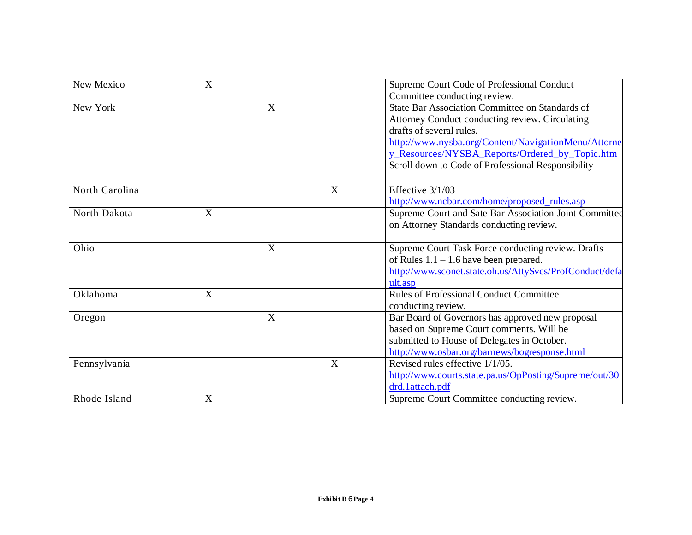| New Mexico     | X |   |   | Supreme Court Code of Professional Conduct              |
|----------------|---|---|---|---------------------------------------------------------|
|                |   |   |   | Committee conducting review.                            |
| New York       |   | X |   | State Bar Association Committee on Standards of         |
|                |   |   |   | Attorney Conduct conducting review. Circulating         |
|                |   |   |   | drafts of several rules.                                |
|                |   |   |   | http://www.nysba.org/Content/NavigationMenu/Attorne     |
|                |   |   |   | y_Resources/NYSBA_Reports/Ordered_by_Topic.htm          |
|                |   |   |   | Scroll down to Code of Professional Responsibility      |
| North Carolina |   |   | X | Effective 3/1/03                                        |
|                |   |   |   | http://www.ncbar.com/home/proposed_rules.asp            |
| North Dakota   | X |   |   | Supreme Court and Sate Bar Association Joint Committee  |
|                |   |   |   | on Attorney Standards conducting review.                |
|                |   |   |   |                                                         |
| Ohio           |   | X |   | Supreme Court Task Force conducting review. Drafts      |
|                |   |   |   | of Rules $1.1 - 1.6$ have been prepared.                |
|                |   |   |   | http://www.sconet.state.oh.us/AttySvcs/ProfConduct/defa |
|                |   |   |   | ult.asp                                                 |
| Oklahoma       | X |   |   | <b>Rules of Professional Conduct Committee</b>          |
|                |   |   |   | conducting review.                                      |
| Oregon         |   | X |   | Bar Board of Governors has approved new proposal        |
|                |   |   |   | based on Supreme Court comments. Will be                |
|                |   |   |   | submitted to House of Delegates in October.             |
|                |   |   |   | http://www.osbar.org/barnews/bogresponse.html           |
| Pennsylvania   |   |   | X | Revised rules effective 1/1/05.                         |
|                |   |   |   | http://www.courts.state.pa.us/OpPosting/Supreme/out/30  |
|                |   |   |   | drd.1attach.pdf                                         |
| Rhode Island   | X |   |   | Supreme Court Committee conducting review.              |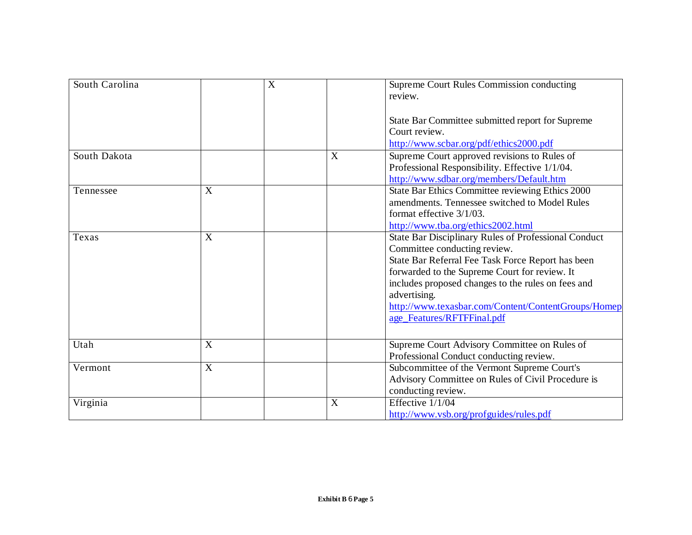| South Carolina |             | X |   | Supreme Court Rules Commission conducting<br>review.                                              |
|----------------|-------------|---|---|---------------------------------------------------------------------------------------------------|
|                |             |   |   | State Bar Committee submitted report for Supreme<br>Court review.                                 |
|                |             |   |   | http://www.scbar.org/pdf/ethics2000.pdf                                                           |
| South Dakota   |             |   | X | Supreme Court approved revisions to Rules of<br>Professional Responsibility. Effective 1/1/04.    |
|                |             |   |   | http://www.sdbar.org/members/Default.htm                                                          |
| Tennessee      | X           |   |   | State Bar Ethics Committee reviewing Ethics 2000<br>amendments. Tennessee switched to Model Rules |
|                |             |   |   | format effective $3/1/03$ .                                                                       |
|                |             |   |   | http://www.tba.org/ethics2002.html                                                                |
| Texas          | X           |   |   | State Bar Disciplinary Rules of Professional Conduct                                              |
|                |             |   |   | Committee conducting review.                                                                      |
|                |             |   |   | State Bar Referral Fee Task Force Report has been                                                 |
|                |             |   |   | forwarded to the Supreme Court for review. It                                                     |
|                |             |   |   | includes proposed changes to the rules on fees and                                                |
|                |             |   |   | advertising.                                                                                      |
|                |             |   |   | http://www.texasbar.com/Content/ContentGroups/Homep                                               |
|                |             |   |   | age_Features/RFTFFinal.pdf                                                                        |
| Utah           | $\mathbf X$ |   |   | Supreme Court Advisory Committee on Rules of                                                      |
|                |             |   |   | Professional Conduct conducting review.                                                           |
| Vermont        | X           |   |   | Subcommittee of the Vermont Supreme Court's                                                       |
|                |             |   |   | Advisory Committee on Rules of Civil Procedure is                                                 |
|                |             |   |   | conducting review.                                                                                |
| Virginia       |             |   | X | Effective 1/1/04                                                                                  |
|                |             |   |   | http://www.vsb.org/profguides/rules.pdf                                                           |